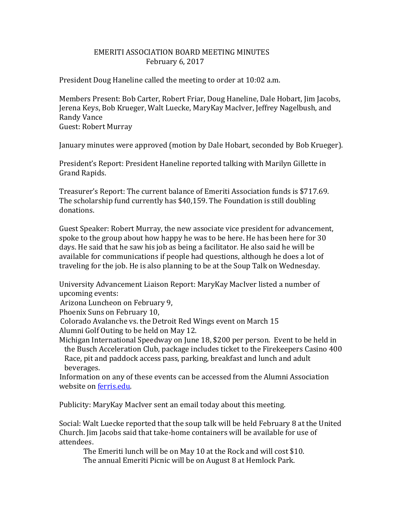## EMERITI ASSOCIATION BOARD MEETING MINUTES February 6, 2017

President Doug Haneline called the meeting to order at 10:02 a.m.

Members Present: Bob Carter, Robert Friar, Doug Haneline, Dale Hobart, Jim Jacobs, Jerena Keys, Bob Krueger, Walt Luecke, MaryKay MacIver, Jeffrey Nagelbush, and Randy Vance Guest: Robert Murray

January minutes were approved (motion by Dale Hobart, seconded by Bob Krueger).

President's Report: President Haneline reported talking with Marilyn Gillette in Grand Rapids.

Treasurer's Report: The current balance of Emeriti Association funds is \$717.69. The scholarship fund currently has \$40,159. The Foundation is still doubling donations.

Guest Speaker: Robert Murray, the new associate vice president for advancement, spoke to the group about how happy he was to be here. He has been here for 30 days. He said that he saw his job as being a facilitator. He also said he will be available for communications if people had questions, although he does a lot of traveling for the job. He is also planning to be at the Soup Talk on Wednesday.

University Advancement Liaison Report: MaryKay MacIver listed a number of upcoming events:

Arizona Luncheon on February 9,

Phoenix Suns on February 10,

Colorado Avalanche vs. the Detroit Red Wings event on March 15

Alumni Golf Outing to be held on May 12.

Michigan International Speedway on June 18, \$200 per person. Event to be held in the Busch Acceleration Club, package includes ticket to the Firekeepers Casino 400 Race, pit and paddock access pass, parking, breakfast and lunch and adult beverages.

 Information on any of these events can be accessed from the Alumni Association website on [ferris.edu.](http://ferris.edu/)

Publicity: MaryKay MacIver sent an email today about this meeting.

Social: Walt Luecke reported that the soup talk will be held February 8 at the United Church. Jim Jacobs said that take-home containers will be available for use of attendees.

 The Emeriti lunch will be on May 10 at the Rock and will cost \$10. The annual Emeriti Picnic will be on August 8 at Hemlock Park.